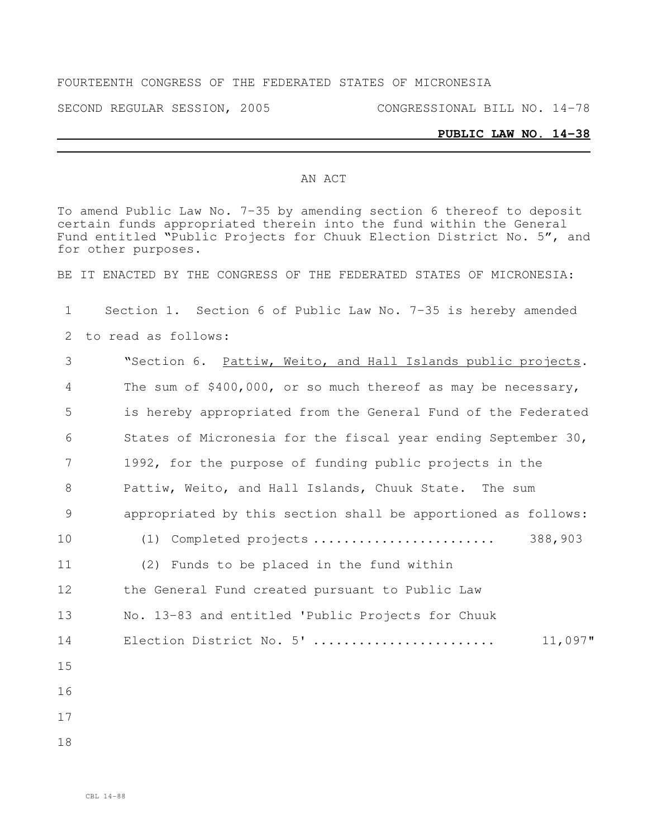## FOURTEENTH CONGRESS OF THE FEDERATED STATES OF MICRONESIA

SECOND REGULAR SESSION, 2005 CONGRESSIONAL BILL NO. 14-78

## **PUBLIC LAW NO. 14-38**

## AN ACT

To amend Public Law No. 7-35 by amending section 6 thereof to deposit certain funds appropriated therein into the fund within the General Fund entitled "Public Projects for Chuuk Election District No. 5", and for other purposes.

BE IT ENACTED BY THE CONGRESS OF THE FEDERATED STATES OF MICRONESIA:

1 Section 1. Section 6 of Public Law No. 7-35 is hereby amended

2 to read as follows:

| 3  | "Section 6. Pattiw, Weito, and Hall Islands public projects.  |  |  |
|----|---------------------------------------------------------------|--|--|
| 4  | The sum of \$400,000, or so much thereof as may be necessary, |  |  |
| 5  | is hereby appropriated from the General Fund of the Federated |  |  |
| 6  | States of Micronesia for the fiscal year ending September 30, |  |  |
| 7  | 1992, for the purpose of funding public projects in the       |  |  |
| 8  | Pattiw, Weito, and Hall Islands, Chuuk State. The sum         |  |  |
| 9  | appropriated by this section shall be apportioned as follows: |  |  |
| 10 | 388,903<br>(1) Completed projects                             |  |  |
| 11 | (2) Funds to be placed in the fund within                     |  |  |
| 12 | the General Fund created pursuant to Public Law               |  |  |
| 13 | No. 13-83 and entitled 'Public Projects for Chuuk             |  |  |
| 14 | Election District No. 5'<br>11,097"                           |  |  |
| 15 |                                                               |  |  |
| 16 |                                                               |  |  |
| 17 |                                                               |  |  |
| 18 |                                                               |  |  |
|    |                                                               |  |  |